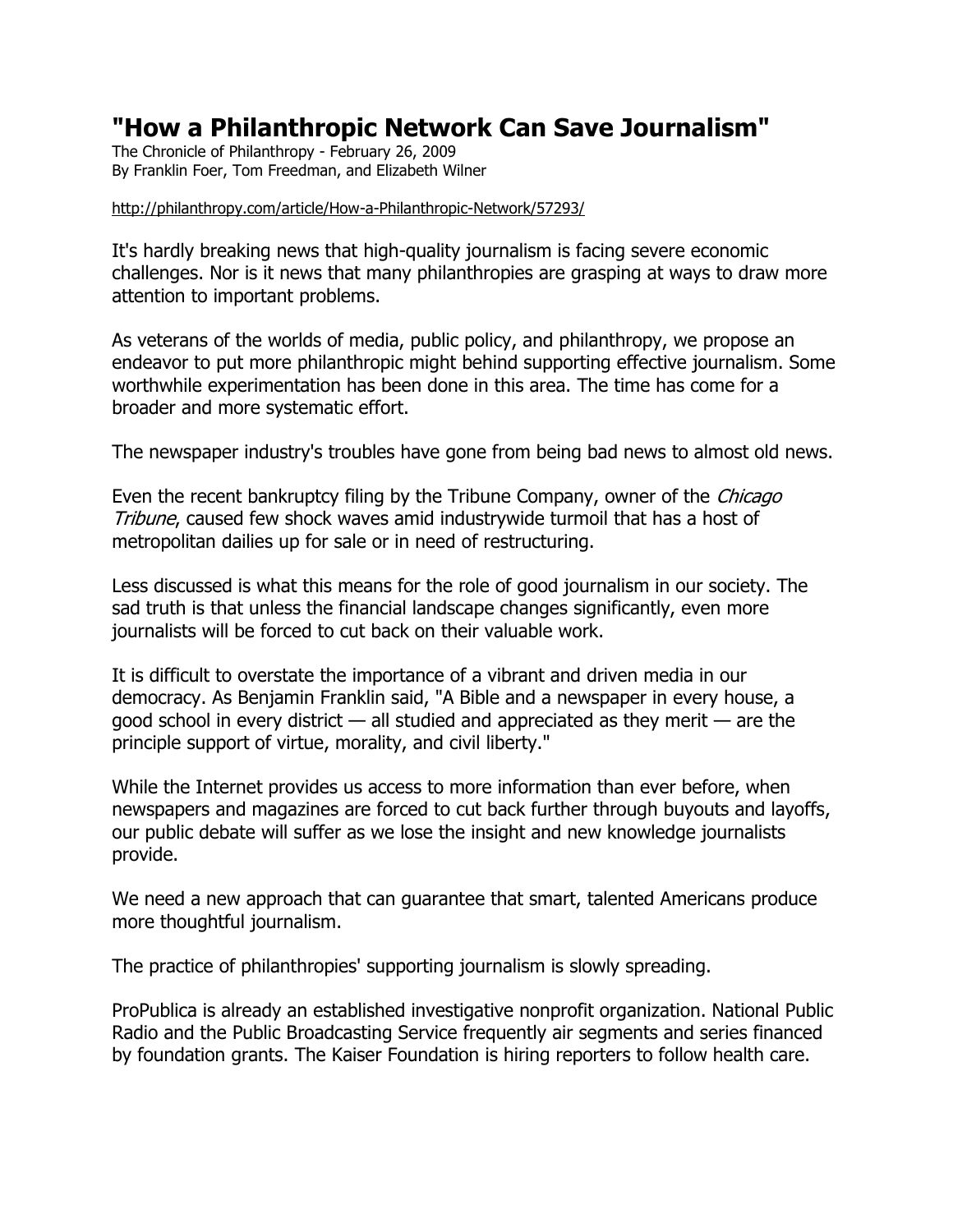## **"How a Philanthropic Network Can Save Journalism"**

The Chronicle of Philanthropy - February 26, 2009 By Franklin Foer, Tom Freedman, and Elizabeth Wilner

## <http://philanthropy.com/article/How-a-Philanthropic-Network/57293/>

It's hardly breaking news that high-quality journalism is facing severe economic challenges. Nor is it news that many philanthropies are grasping at ways to draw more attention to important problems.

As veterans of the worlds of media, public policy, and philanthropy, we propose an endeavor to put more philanthropic might behind supporting effective journalism. Some worthwhile experimentation has been done in this area. The time has come for a broader and more systematic effort.

The newspaper industry's troubles have gone from being bad news to almost old news.

Even the recent bankruptcy filing by the Tribune Company, owner of the *Chicago* Tribune, caused few shock waves amid industrywide turmoil that has a host of metropolitan dailies up for sale or in need of restructuring.

Less discussed is what this means for the role of good journalism in our society. The sad truth is that unless the financial landscape changes significantly, even more journalists will be forced to cut back on their valuable work.

It is difficult to overstate the importance of a vibrant and driven media in our democracy. As Benjamin Franklin said, "A Bible and a newspaper in every house, a good school in every district  $-$  all studied and appreciated as they merit  $-$  are the principle support of virtue, morality, and civil liberty."

While the Internet provides us access to more information than ever before, when newspapers and magazines are forced to cut back further through buyouts and layoffs, our public debate will suffer as we lose the insight and new knowledge journalists provide.

We need a new approach that can guarantee that smart, talented Americans produce more thoughtful journalism.

The practice of philanthropies' supporting journalism is slowly spreading.

ProPublica is already an established investigative nonprofit organization. National Public Radio and the Public Broadcasting Service frequently air segments and series financed by foundation grants. The Kaiser Foundation is hiring reporters to follow health care.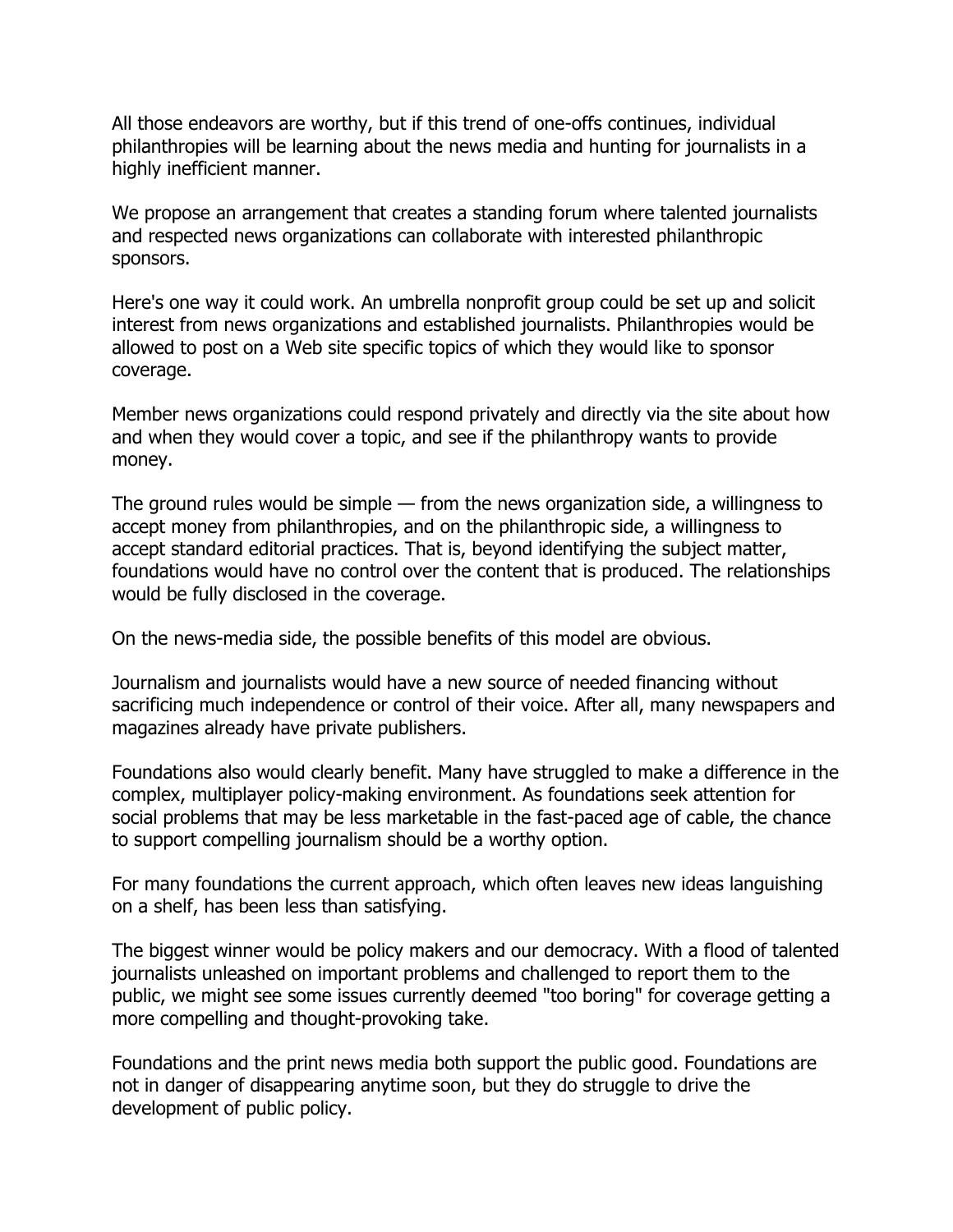All those endeavors are worthy, but if this trend of one-offs continues, individual philanthropies will be learning about the news media and hunting for journalists in a highly inefficient manner.

We propose an arrangement that creates a standing forum where talented journalists and respected news organizations can collaborate with interested philanthropic sponsors.

Here's one way it could work. An umbrella nonprofit group could be set up and solicit interest from news organizations and established journalists. Philanthropies would be allowed to post on a Web site specific topics of which they would like to sponsor coverage.

Member news organizations could respond privately and directly via the site about how and when they would cover a topic, and see if the philanthropy wants to provide money.

The ground rules would be simple — from the news organization side, a willingness to accept money from philanthropies, and on the philanthropic side, a willingness to accept standard editorial practices. That is, beyond identifying the subject matter, foundations would have no control over the content that is produced. The relationships would be fully disclosed in the coverage.

On the news-media side, the possible benefits of this model are obvious.

Journalism and journalists would have a new source of needed financing without sacrificing much independence or control of their voice. After all, many newspapers and magazines already have private publishers.

Foundations also would clearly benefit. Many have struggled to make a difference in the complex, multiplayer policy-making environment. As foundations seek attention for social problems that may be less marketable in the fast-paced age of cable, the chance to support compelling journalism should be a worthy option.

For many foundations the current approach, which often leaves new ideas languishing on a shelf, has been less than satisfying.

The biggest winner would be policy makers and our democracy. With a flood of talented journalists unleashed on important problems and challenged to report them to the public, we might see some issues currently deemed "too boring" for coverage getting a more compelling and thought-provoking take.

Foundations and the print news media both support the public good. Foundations are not in danger of disappearing anytime soon, but they do struggle to drive the development of public policy.